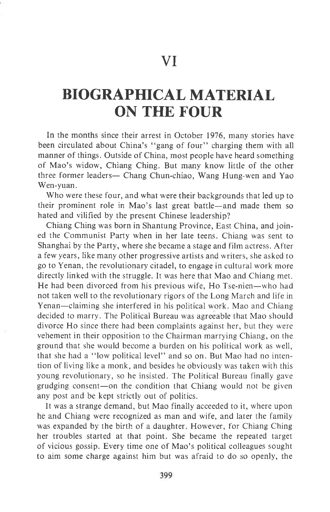## BIOGRAPHICAL MATERIAL ON THE FOUR

In the months since their arrest in October 1976, many stories have been circulated about China's "gang of four" charging them with all manner of things. Outside of China, most people have heard something of Mao's widow, Chiang Ching. But many know little of the other three former leaders— Chang Chun-chiao, Wang Hung-wen and Yao Wen-yuan.

Who were these four, and what were their backgrounds that led up to their prominent role in Mao's last great battle-and made them so hated and vilified by the present Chinese leadership?

Chiang Ching was born in Shantung Province, East China, and joined the Communist Party when in her late teens. Chiang was sent to Shanghai by the Party, where she became a stage and film actress. After a few years, like many other progressive artists and writers, she asked to go to Yenan, the revolutionary citadel, to engage in cultural work more directly linked with the struggle. It was here that Mao and Chiang met. He had been divorced from his previous wife, Ho Tse-nien-who had not taken well to the revolutionary rigors of the Long March and life in Yenan—claiming she interfered in his political work. Mao and Chiang decided to marry. The Political Bureau was agreeable that Mao should divorce Ho since there had been complaints against her, but they were vehement in their opposition to the Chairman marrying Chiang, on the ground that she would become a burden on his political work as well, that she had a "low political level" and so on. But Mao had no intention of living like a monk, and besides he obviously was taken with this young revolutionary, so he insisted. The Political Bureau finally gave grudging consent-on the condition that Chiang would not be given any post and be kept strictly out of politics.

It was a strange demand, but Mao finally acceeded to it, where upon he and Chiang were recognized as man and wife, and later the family was expanded by the birth of a daughter. However, for Chiang Ching her troubles started at that point. She became the repeated target of vicious gossip. Every time one of Mao's political colleagues sought to aim some charge against him but was afraid to do so openly, the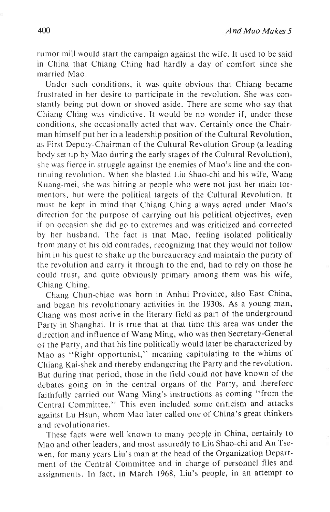rumor mill would start the campaign against the wife. It used to be said in China that Chiang Ching had hardly a day of comfort since she married Mao.

Under such conditions, it was quite obvious that Chiang became frustrated in her desire to participate in the revolution. She was constantly being put down or shoved aside. There are some who say that Chiang Ching was vindictive. It would be no wonder if, under these conditions, she occasionally acted that way. Certainly once the Chairman himself put her in a leadership position of the Cultural Revolution, as First Deputy-Chairman of the Cultural Revolution Group (a leading body set up by Mao during the early stages of the Cultural Revolution), she was fierce in struggle against the enemies of Mao's line and the continuing revolution. When she blasted Liu Shao-chi and his wife, Wang Kuang-mei, she was hitting at people who were not just her main tormentors, but were the political targets of the Cultural Revolution. It must be kept in mind that Chiang Ching always acted under Mao's direction for the purpose of carrying out his political objectives, even if on occasion she did go to extremes and was criticized and corrected by her husband. The fact is that Mao, feeling isolated politically from many of his old comrades, recognizing that they would not follow him in his quest to shake up the bureaucracy and maintain the purity of the revolution and carry it through to the end, had to rely on those he could trust, and quite obviously primary among them was his wife, Chiang Ching.

Chang Chun-chiao was born in Anhui Province, also East China, and began his revolutionary activities in the 1930s. As a young man, Chang was most active in the literary field as part of the underground Party in Shanghai. It is true that at that time this area was under the direction and influence of Wang Ming, who was then Secretary-General of the Party, and that his line politically would later be characterized by Mao as "Right opportunist," meaning capitulating to the whims of Chiang Kai-shek and thereby endangering the Party and the revolution. But during that period, those in the field could not have known of the debates going on in the central organs of the Party, and therefore faithfully carried out Wang Ming's instructions as coming "from the Central Committee." This even included some criticism and attacks against Lu Hsun, whom Mao later called one of China's great thinkers and revolutionaries.

These facts were well known to many people in China, certainly to Mao and other leaders, and most assuredly to Liu Shao-chi and An Tsewen, for many years Liu's man at the head of the Organizatiop Department of the Central Committee and in charge of personnel files and assignments. In fact, in March 1968, Liu's people, in an attempt to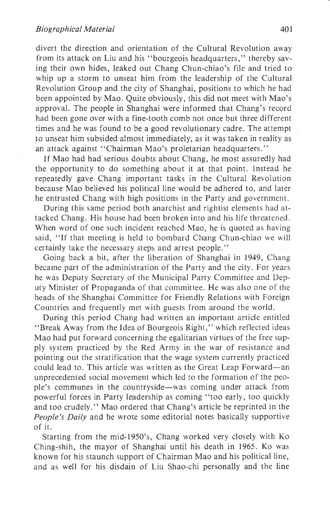divert the direction and orientation of the Cultural Revolution away from its attack on Liu and his "bourgeois headquarters," thereby saving their own hides, leaked out Chang Chun-chiao's file and tried to whip up a storm to unseat him from the leadership of the Cultural Revolution Group and the city of Shanghai, positions to which he had been appointed by Mao. Quite obviously, this did not meet with Mao's approval. The people in Shanghai were informed that Chang's record had been gone over with a fine-tooth comb not once but three different times and he was found to be a good revolutionary cadre. The attempt to unseat him subsided almost immediately, as it was taken in reality as an attack against "Chairman Mao's proletarian headquarters."

If Mao had had serious doubts about Chang, he most assuredly had the opportunity to do something about it at that point. Instead he repeatedly gave Chang important tasks in the Cultural Revolution because Mao believed his political line would be adhered to, and later he entrusted Chang with high positions in the Party and government.

During this same period both anarchist and rightist elements had attacked Chang. His house had been broken into and his life threatened. When word of one such incident reached Mao, he is quoted as having said, "If that meeting is held to bombard Chang Chun-chiao we will certainly take the necessary steps and arrest people."

Going back a bit, after the liberation of Shanghai in 1949, Chang became part of the administration of the Party and the city. For years he was Deputy Secretary of the Municipal Party Committee and Deputy Minister of Propaganda of that committee. He was also one of the heads of the Shanghai Committee for Friendly Relations with Foreign Countries and frequently met with guests from around the world.

During this period Chang had written an important article entitled "Break Away from the Idea of Bourgeois Right," which reflected ideas Mao had put forward concerning the egalitarian virtues of the free supply system practiced by the Red Army in the war of resistance and pointing out the stratification that the wage system currently practiced could lead to. This article was written as the Great Leap Forward-an unprecedented social movement which led to the formation of the people's communes in the countryside-was coming under attack from powerful forces in Party leadership as coming "too early, too quickly and too crudely." Mao ordered that Chang's article be reprinted in the People's Daily and he wrote some editorial notes basically supportive of it.

Starting from the mid-I950's, Chang worked very closely with Ko Ching-shih, the mayor of Shanghai until his death in 1965. Ko was known for his staunch support of Chairman Mao and his political line , and as well for his disdain of Liu Shao-chi personally and the line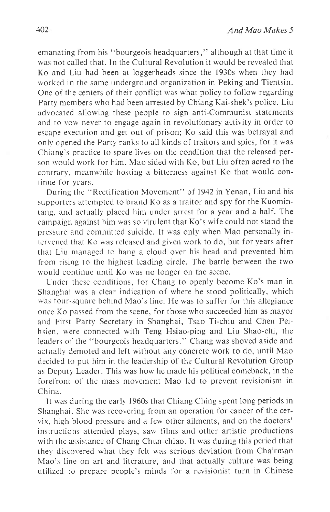emanating from his "bourgeois headquarters," although at that time it was not called that. In the Cultural Revolution it would be revealed that Ko and Liu had been at loggerheads since the 1930s when they had worked in the same underground organization in Peking and Tientsin. One of the centers of their conflict was what policy to follow regarding Party members who had been arrested by Chiang Kai-shek's police. Liu advocated allowing these people to sign anti-Communist statements and to vow never to engage again in revolutionary activity in order to escape execution and get out of prison; Ko said this was betrayal and only opened the Party ranks to all kinds of traitors and spies, for it was Chiang's practice to spare lives on the condition that the released person would work for him. Mao sided with Ko, but Liu often acted to the contrary, meanwhile hosting a bitterness against Ko that would continue for years.

During the "Rectification Movement" of 1942 in Yenan, Liu and his supporters attempted to brand Ko as a traitor and spy for the Kuomintang, and actually placed him under arrest for a year and a half. The campaign against him was so virulent that Ko's wife could not stand the pressure and committed suicide. It was only when Mao personally intervened that Ko was released and given work to do, but for years after that Liu managed to hang a cloud over his head and prevented him from rising to the highest leading circle. The battle between the two would continue until Ko was no longer on the scene.

Under these conditions, for Chang to openly become Ko's m'an in Shanghai was a clear indication of where he stood politically, which was four-square behind Mao's line. He was to suffer for this allegiance once Ko passed lrom the scene, for those who succeeded him as mayor and First Party Secretary in Shanghai, Tsao Ti-chiu and Chen Peihsien, were connected with Teng Hsiao-ping and Liu Shao-chi, the leaders of the "bourgeois headquarters." Chang was shoved aside and actually demoted and left without any concrete work to do, until Mao decided to put him in the leadership of the Cultural Revolution Group as Deputy Leader. This was how he made his political comeback, in the forefront of the mass movement Mao led to prevent revisionism in China.

It was during the early 1960s that Chiang Ching spent long periods in Shanghai. She was recovering from an operation for cancer of the cervix, high blood pressure and a few other ailments, and on the doctors' instructions attended plays, saw films and other artistic productions with the assistance of Chang Chun-chiao. It was during this period that they discovered what they felt was serious deviation from Chairman Mao's line on art and literature, and that actually culture was being utilized to prepare people's minds for a revisionist turn in Chinese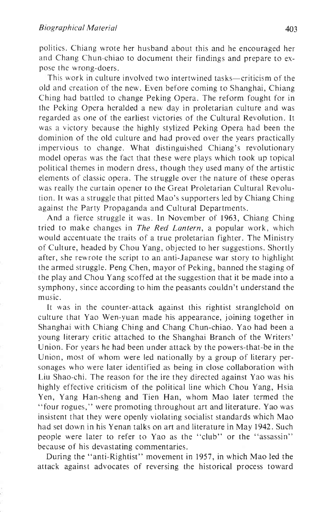politics. Chiang wrote her husband about this and he encouraged her and Chang Chun-chiao to document their findings and prepare to expose the wrong-doers.

This work in culture involved two intertwined tasks-criticism of the old and creation of the new. Even before coming to Shanghai, Chiang Ching had battled to change Peking Opera. The reform fought for in the Peking Opera heralded a new day in proletarian culture and was regarded as one of the earliest victories of the Cultural Revolution. It was a victory because the highly stylized Peking Opera had been the dominion of the old culture and had proved over the years practically impervious to change. What distinguished Chiang's revolutionary model operas was the fact that these were plays which took up topical political themes in modern dress, though they used many of the artistic elements of classic opera. The struggle over the nature of these operas was really the curtain opener to the Great Proletarian Cultural Revolution. lt was a struggle that pitted Mao's supporters led by Chiang Ching against the Party Propaganda and Cultural Departments.

And a fierce struggle it was. In November of 1963, Chiang Ching tried to make changes in The Red Lantern, a popular work, which would accentuate the traits of a true proletarian fighter. The Ministry of Culture, headed by Chou Yang, objected to her suggestions. Shortly after, she rewrote the script to an anti-Japanese war story to highlight the armed struggle. Peng Chen, mayor of Peking, banned the staging of the play and Chou Yang scoffed at the suggestion that it be made into <sup>a</sup> symphony, since according to him the peasants couldn't understand the music.

It was in the counter-attack against this rightist stranglehold on culture that Yao Wen-yuan made his appearance, joining together in Shanghai with Chiang Ching and Chang Chun-chiao. Yao had been a young literary critic attached to the Shanghai Branch of the Writers' Union. For years he had been under attack by the powers-that-be in the Union, most of whom were led nationally by a group of literary personages who were later identified as being in close collaboration with Liu Shao-chi. The reason for the ire they directed against Yao was his highly effective criticism of the political line which Chou Yang, Hsia Yen, Yang Han-sheng and Tien Han, whom Mao later termed the "four rogues," were promoting throughout art and literature. Yao was insistent that they were openly violating socialist standards which Mao had set down in his Yenan talks on art and literature in May 1942. Such people were later to refer to Yao as the "club" or the "assassin" because of his devastating commentaries.

During the "anti-Rightist" movement in 1957, in which Mao led the attack against advocates of reversing the historical process toward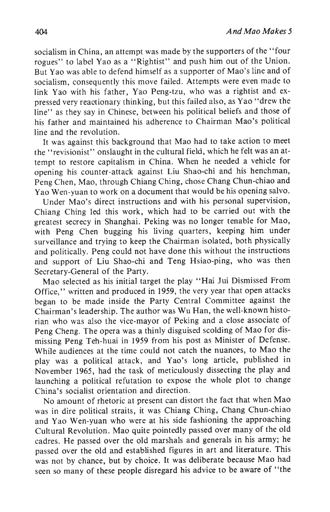socialism in China, an attempt was made by the supporters of the "four rogues" to label Yao as a "Rightist" and push him out of the Union. But Yao was able to defend himself as a supporter of Mao's line and of socialism, consequently this move failed. Attempts were even made to link Yao with his father, Yao Peng-tzu, who was a rightist and expressed very reactionary thinking, but this failed also, as Yao "drew the line" as they say in Chinese, between his political beliefs and those of his father and maintained his adherence to Chairman Mao's political line and the revolution.

It was against this background that Mao had to take action to meet the "revisionist" onslaught in the cultural field, which he felt was an attempt to restore capitalism in China. When he needed a vehicle for opening his counter-attack against Liu Shao-chi and his henchman, Peng Chen, Mao, through Chiang Ching, chose Chang Chun-chiao and Yao Wen-yuan to work on a document that would be his opening salvo.

Under Mao's direct instructions and with his personal supervision, Chiang Ching led this work, which had to be carried out with the greatest secrecy in Shanghai. Peking was no longer tenable for Mao, with Peng Chen bugging his living quarters, keeping him under surveillance and trying to keep the Chairman isolated, both physically and politically. Peng could not have done this without the instructions and support of Liu Shao-chi and Teng Hsiao-ping, who was then Secretary-General of the Party.

Mao selected as his initial target the play "Hai Jui Dismissed From Office," written and produced in 1959, the very year that open attacks began to be made inside the Party Central Committee against the Chairman's leadership. The author was Wu Han, the well-known historian who was also the vice-mayor of Peking and a close associate of Peng Cheng. The opera was a thinly disguised scolding of Mao for dismissing Peng Teh-huai in 1959 from his post as Minister of Defense. While audiences at the time could not catch the nuances, to Mao the play was a political attack, and Yao's long article, published in November 1965, had the task of meticulously dissecting the play and launching a political refutation to expose the whole plot to change China's socialist orientation and direction.

No amount of rhetoric at present can distort the fact that when Mao was in dire political straits, it was Chiang Ching, Chang Chun-chiao and Yao Wen-yuan who were at his side fashioning the approaching Cultural Revolution. Mao quite pointedly passed over many of the old cadres. He passed over the old marshals and generals in his army; he passed over the old and established figures in art and literature. This was not by chance, but by choice. It was deliberate because Mao had seen so many of these people disregard his advice to be aware of "the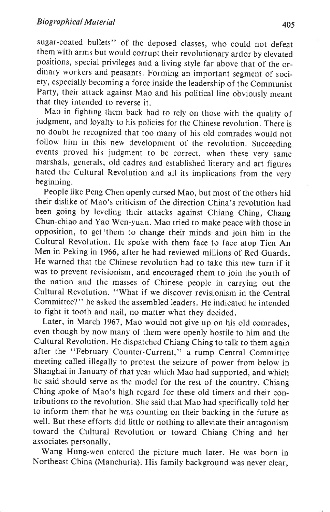sugar-coated bullets" of the deposed classes, who could not defeat them with arms but would corrupt their revolutionary ardor by elevated positions, special privileges and a living style far above that of the ordinary workers and peasants. Forming an important segment of society, especially becoming a force inside the leadership of the Communist Party, their attack against Mao and his political line obviously meant that they intended to reverse it.

Mao in fighting them back had to rely on those with the qualiry of judgment, and loyalty to his policies for the chinese revolution. There is no doubt he recognized that too many of his old comrades would not follow him in this new development of the revolution. Succeeding events proved his judgment to be correct, when these very same marshals, generals, old cadres and established literary and art figures hated the cultural Revolution and all its implications from the very beginning.

People like Peng Chen openly cursed Mao, but most of the others hid their dislike of Mao's criticism of the direction China's revolution had been going by leveling their attacks against Chiang Ching, Chang Chun-chiao and Yao Wen-yuan. Mao tried to make peace with those in opposition, to get'them to change their minds and join him in the Cultural Revolution. He spoke with them face to face atop Tien An Men in Peking in 1966, after he had reviewed millions of Red Guards. He warned that the Chinese revolution had to take this new turn if it was to prevent revisionism, and encouraged them to join the youth of the nation and the masses of Chinese people in carrying out the cultural Revolution. "what if we discover revisionism in the central Committee?" he asked the assembled leaders. He indicated he intended to fight it tooth and nail, no matter what they decided.

Later, in March 1967, Mao would not give up on his old comrades, even though by now many of them were openly hostile to him and the Cultural Revolution. He dispatched Chiang Ching to talk to them again after the "February Counter-Current," a rump Central Committee meeting called illegally to protest the seizure of power from below in Shanghai in January of that year which Mao had supported, and which he said should serve as the model for the rest of the country. Chiang Ching spoke of Mao's high regard for these old timers and their contributions to the revolution. She said that Mao had specifically told her to inform them that he was counting on their backing in the future as well. But these efforts did little or nothing to alleviate their antagonism toward the Cultural Revolution or toward Chiang Ching and her associates personally.

Wang Hung-wen entered the picture much later. He was born in Northeast China (Manchuria). His family background was never clear,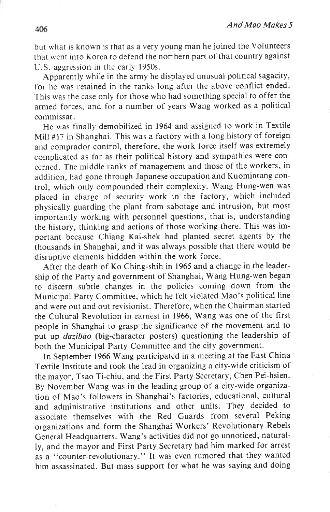but what is known is that as a very young man he joined the Volunteers that went into Korea to defend the northern part of that country against U.S. aggression in the early 1950s.

Apparently while in the army he displayed unusual political sagacity, for he was retained in the ranks long after the above conflict ended. This was the case only for those who had something special to offer the armed forces, and for a number of years Wang worked as a political commissar.

He was finally demobilized in 1964 and assigned to work in Textile Mill #17 in Shanghai. This was a factory with a long history of foreign and comprador control, therefore, the work force itself was extremely complicated as far as their political history and sympathies were concerned. The middle ranks of management and those of the workers, in addition, had gone through Japanese occupation and Kuomintang control, which only compounded their complexity. Wang Hung-wen was placed in charge of security work in the factory, which included physically guarding the plant from sabotage and intrusion, but most importantly working with personnel questions, that is, understanding the history, thinking and actions of those working there. This was important because Chiang Kai-shek had planted secret agents by the thousands in Shanghai, and it was always possible that there would be disruptive elements hiddden within the work force.

After the death of Ko Ching-shih in 1965 and a change in the leadership of the Party and government of Shanghai, Wang Hung-wen began to discern subtle changes in the policies coming down from the Municipal Party Committee, which he felt violated Mao's political line and were out and out revisionist. Therefore, when the Chairman started the Cultural Revolution in earnest in 1966, Wang was one of the first people in Shanghai to grasp the significance of the movement and to put up *dazibao* (big-character posters) questioning the leadership of both the Municipal Party Committee and the city government.

In September 1966 Wang participated in a meeting at the East China Textile Institute and took the lead in organizing a city-wide criticism of the mayor, Tsao Ti-chiu, and the First Party Secretary, Chen Pei-hsien. By November Wang was in the leading group of a city-wide organization of Mao's followers in Shanghai's factories, educational, cultural and administrative institutions and other units. They decided to associate themselves with the Red Guards from several Peking organizations and form the Shanghai Workers' Revolutionary Rebels General Headquarters. Wang's activities did not go unnoticed, natural-Iy, and the mayor and First Party Secretary had him marked for arrest as a "counter-revolutionary." It was even rumored that they wanted him assassinated, But mass support for what he was saying and doing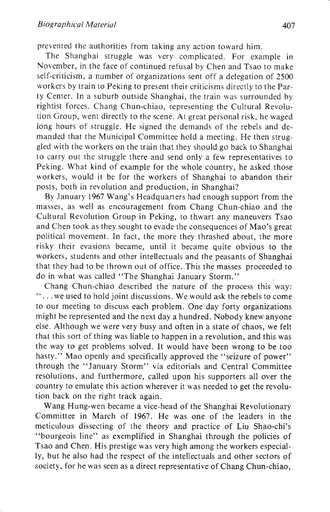prevented the authorities from taking any action toward him.

The Shanghai struggle was very complicated. For example in November, in the face of continued refusal by Chen and Tsao to make self-criticism, a number of organizations sent off a delegation of 2500 workers by train to Peking to present their criticisms directly to the Party Center. ln a suburb outside Shanghai, the train was surrounded by rightist forces. Chang Chun-chiao, representing the Cultural Revolution Group, went directly to the scene. At great personal risk, he waged long hours of struggle. He signed the demands of the rebels and demanded that the Municipal Committee hold a meeting. He then struggled with the workers on the train that they should go back to Shanghai to carry out the struggle there and send only a few representatives to Peking. What kind of example for the whole country, he asked those workers, would it be for the workers of Shanghai to abandon their posts, both in revolution and production, in Shanghai?

By January 1967 Wang's Headquarters had enough support from the masses, as well as encouragement from Chang Chun-chiao and the Cultural Revolution Group in Peking, to thwart any maneuvers Tsao and Chen took as they sought to evade the consequences of Mao's great political movement. In fact, the more they thrashed about, the more risky their evasions became, until it became quite obvious to the workers, students and other intellectuals and the peasants of Shanghai that they had to be thrown out of office. This the masses proceeded to do in what was called "The Shanghai January Storm."

Chang Chun-chiao described the nature of the process this way: " . . . we used to hold joint discussions. We would ask the rebels to come to our meeting to discuss each problem. One day forty organizations might be represented and the next day a hundred. Nobody knew anyone else. Although we were very busy and often in a state of chaos, we felt that this sort of thing was liable to happen in a revolution, and this was the way to get problems solved. It would have been wrong to be too hasty." Mao openly and specifically approved the "seizure of power" through the "January Storm" via editorials and Central Committee resolutions, and furthermore, called upon his supporters all over the country to emulate this action wherever it was needed to get the revolution back on the right track again.

Wang Hung-wen became a vice-head of the Shanghai Revolutionary Committee in March of 1967. He was one of the leaders in the meticulous dissecting of the theory and practice of Liu Shao-chi's "bourgeois line" as exemplified in Shanghai through the policies of Tsao and Chen. His prestige was very high among the workers especially, but he also had the respect of the intellectuals and other sectors of society, for he was seen as a direct representative of Chang Chun-chiao,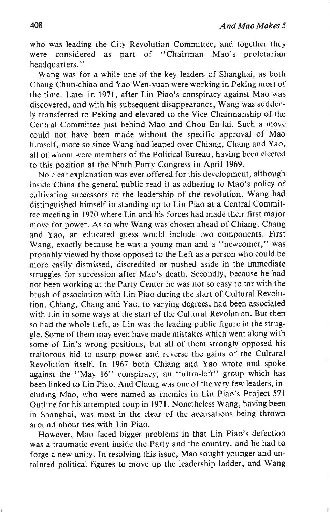who was leading the City Revolution Committee, and together they were considered as part of "Chairman Mao's proletarian headquarters."

Wang was for a while one of the key leaders of Shanghai, as both Chang Chun-chiao and Yao Wen-yuan were working in Peking most of the time. Later in 1971, after Lin Piao's conspiracy against Mao was discovered, and with his subsequent disappearance, Wang was suddenly transferred to Peking and elevated to the Vice-Chairmanship of the Central Committee just behind Mao and Chou En-lai. Such a move could not have been made without the specific approval of Mao himself, more so since Wang had leaped over Chiang, Chang and Yao, all of whom were members of the Political Bureau, having been elected to this position at the Ninth Party Congress in April 1969.

No clear explanation was ever offered for this development, although inside China the general public read it as adhering to Mao's policy of cultivating successors to the leadership of the revolution. Wang had distinguished himself in standing up to Lin Piao at a Central Committee meeting in 1970 where Lin and his forces had made their first major move for power. As to why Wang was chosen ahead of Chiang, Chang and Yao, an educated guess would include two components. First Wang, exactly because he was a young man and a "newcomer," was probably viewed by those opposed to the Left as a person who could be more easily dismissed, discredited or pushed aside in the immediate struggles for succession after Mao's death. Secondly, because he had not been working at the Party Center he was not so easy to tar with'the brush of association with Lin Piao during the start of Cultural Revolution. Chiang, Chang and Yao, to varying degrees, had been associated with Lin in some ways at the start of the Cultural Revolution. But then so had the whole Left, as Lin was the leading public figure in the struggle. Some of them may even have made mistakes which went along with some of Lin's wrong positions, but all of them strongly opposed his traitorous bid to usurp power and reverse the gains of the Cultural Revolution itself. In 1967 both Chiang and Yao wrote and spoke against the "May 16" conspiracy, an "ultra-left" group which has been linked to Lin Piao. And Chang was one of the very few leaders, including Mao, who were named as enemies in Lin Piao's Project <sup>571</sup> Outline for his attempted coup in 1971. Nonetheless Wang, having been in Shanghai, was most in the clear of the accusations being thrown around about ties with Lin Piao.

However, Mao faced bigger problems in that Lin Piao's defection was a traumatic event inside the Party and the country, and he had to forge a new unity. In resolving this issue, Mao sought younger and untainted political figures to move up the leadership ladder, and Wang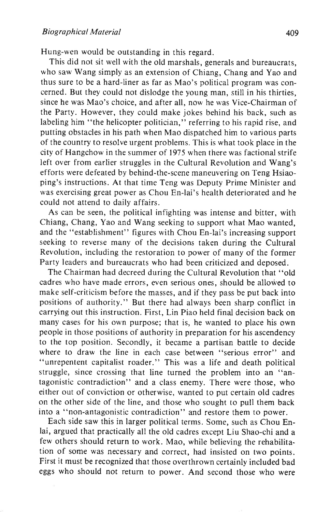Hung-wen would be outstanding in this regard.

This did not sit well with the old marshals, generals and bureaucrats, who saw Wang simply as an extension of Chiang, Chang and Yao and thus sure to be a hard-liner as far as Mao's political program was concerned. But they could not dislodge the young man, still in his thirties, since he was Mao's choice, and after all, now he was Vice-Chairman of the Party. However, they could make jokes behind his back, such as labeling him "the helicopter politician," referring to his rapid rise, and putting obstacles in his path when Mao dispatched him to various parts of the country to resolve urgent problems. This is what took place in the city of Hangchow in the summer of 1975 when there was factional strife left over from earlier struggles in the Cultural Revolution and Wang's efforts were defeated by behind-the-scene maneuvering on Teng Hsiaoping's instructions. At that time Teng was Deputy Prime Minister and was exercising great power as Chou En-lai's health deteriorated and he could not attend to daily affairs.

As can be seen, the political infighting was intense and bitter, with Chiang, Chang, Yao and Wang seeking to support what Mao wanted, and the "establishment" figures with Chou En-lai's increasing support seeking to reverse many of the decisions taken during the Cultural Revolution, including the restoration to power of many of the former Party leaders and bureaucrats who had been criticized and deposed.

The Chairman had decreed during the Cultural Revolution that "old cadres who have made errors, even serious ones, should be allowed to make self-criticism before the masses, and if they pass be put back into positions of authority." But there had always been sharp conflict in carrying out this instruction, First, Lin Piao held final decision back on many cases for his own purpose; that is, he wanted to place his own people in those positions of authority in preparation for his ascendency to the top position. Secondly, it became a partisan battle to decide where to draw the line in each case between "serious error" and "unrepentent capitalist roader." This was a life and death political struggle, since crossing that line turned the problem into an "antagonistic contradiction" and a class enemy. There were those, who either out of conviction or otherwise, wanted to put certain old cadres on the other side of the line, and those who sought to pull them back into a "non-antagonistic contradiction" and restore them to power.

Each side saw this in larger political terms. Some, such as Chou Enlai, argued that practically all the old cadres except Liu Shao-chi and <sup>a</sup> few others should return to work. Mao, while believing the rehabilitation of some was necessary and correct, had insisted on two points. First it must be recognized that those overthrown certainly included bad eggs who should not return to power. And second those who were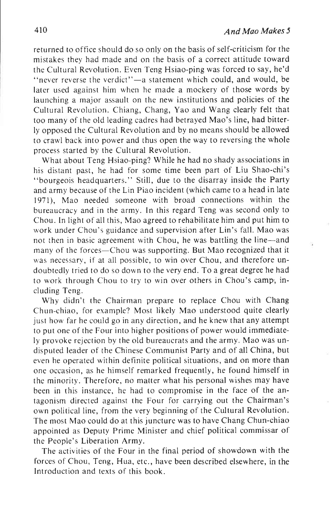returned to office should do so only on the basis of self-criticism for the mistakes they had made and on the basis of a correct attitude toward the Cultural Revolution. Even Teng Hsiao-ping was forced to say, he'd "never reverse the verdict"-a statement which could, and would, be later used against him when he made a mockery of those words by launching a major assault on the new institutions and policies of the Cultural Revolution. Chiang, Chang, Yao and Wang clearly felt that too many of the old leading cadres had betrayed Mao's line, had bitterly opposed the Cultural Revolution and by no means should be allowed to crawl back into power and thus open the way to reversing the whole process started by the Cultural Revolution.

What about Teng Hsiao-ping? While he had no shady associations in his distant past, he had for some time been part of Liu Shao-chi's "bourgeois headquarters." Still, due to the disarray inside the Party and army because of the Lin Piao incident (which came to a head in late <sup>197</sup>1), Mao needed someone with broad connections within the bureaucracy and in the army. In this regard Teng was second only to Chou. ln light of all this, Mao agreed to rehabilitate him and put him to work under Chou's guidance and supervision after Lin's fall. Mao was not then in basic agreement with Chou, he was battling the line-and many of the forces—Chou was supporting. But Mao recognized that it was necessary, if at all possible, to win over Chou, and therefore undoubtedly tried to do so down to the very end. To a great degree he had to work through Chou to try to win over others in Chou's camp, including Teng.

Why didn't the Chairman prepare to replace Chou with Chang Chun-chiao, for example? Most likely Mao understood quite clearly just how far he could go in any direction, and he knew that any attempt to put one of the Four into higher positions of power would immediately provoke rejection by the old bureaucrats and the army. Mao was undisputed leader of the Chinese Communist Party and of all China, but even he operated within definite political situations, and on more than one occasion, as he himself remarked frequently, he found himself in the minority. Therefore, no matter what his personal wishes may have been in this instance, he had to compromise in the face of the antagonism directed against the Four for carrying out the Chairman's own political line, from the very beginning of the Cultural Revolution. The most Mao could do at this juncture was to have Chang Chun-chiao appointed as Deputy Prime Minister and chief political commissar of the People's Liberation Army.

The activities of the Four in the final period of showdown with the forces of Chou, Teng, Hua, etc., have been described elsewhere, in the Introduction and texts of this book.